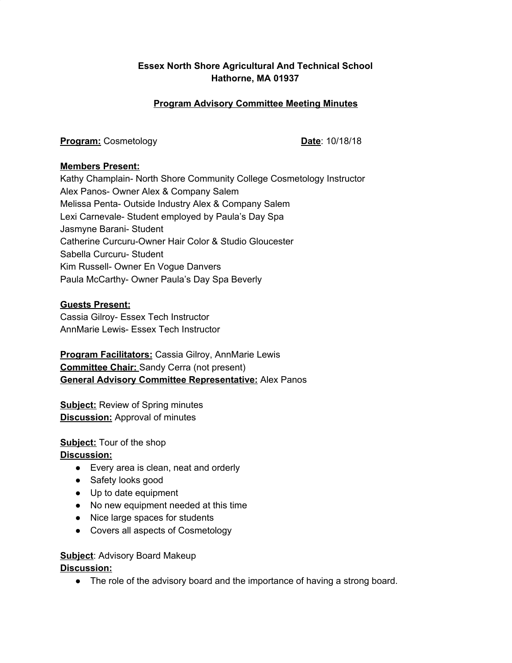## **Essex North Shore Agricultural And Technical School [Hathorne,](https://www.google.com/maps/place/565+Maple+St,+Danvers,+MA+01923/@42.5892519,-70.9741893,15z/data=!4m2!3m1!1s0x89e311b9b1a1f111:0x613e934dda69dccd) MA 01937**

## **Program Advisory Committee Meeting Minutes**

**Program:** Cosmetology **Date**: 10/18/18

#### **Members Present:**

Kathy Champlain- North Shore Community College Cosmetology Instructor Alex Panos- Owner Alex & Company Salem Melissa Penta- Outside Industry Alex & Company Salem Lexi Carnevale- Student employed by Paula's Day Spa Jasmyne Barani- Student Catherine Curcuru-Owner Hair Color & Studio Gloucester Sabella Curcuru- Student Kim Russell- Owner En Vogue Danvers Paula McCarthy- Owner Paula's Day Spa Beverly

#### **Guests Present:**

Cassia Gilroy- Essex Tech Instructor AnnMarie Lewis- Essex Tech Instructor

**Program Facilitators:** Cassia Gilroy, AnnMarie Lewis **Committee Chair:** Sandy Cerra (not present) **General Advisory Committee Representative:** Alex Panos

**Subject:** Review of Spring minutes **Discussion:** Approval of minutes

**Subject:** Tour of the shop **Discussion:**

- Every area is clean, neat and orderly
- Safety looks good
- Up to date equipment
- No new equipment needed at this time
- Nice large spaces for students
- Covers all aspects of Cosmetology

**Subject**: Advisory Board Makeup

**Discussion:**

• The role of the advisory board and the importance of having a strong board.